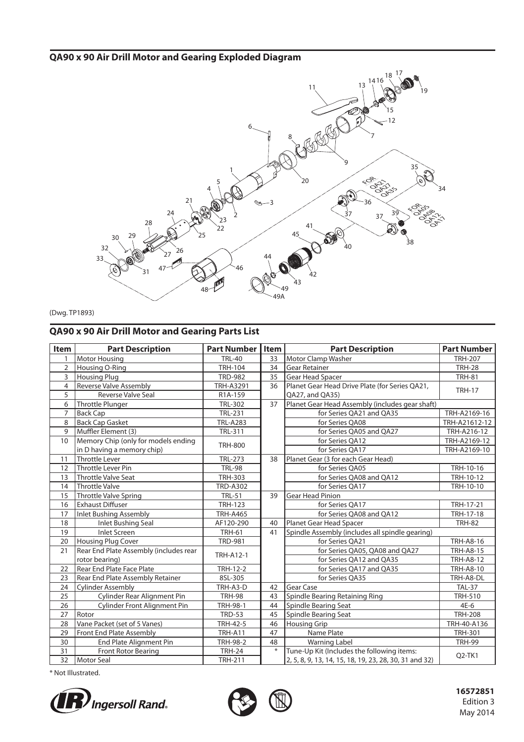# **QA90 x 90 Air Drill Motor and Gearing Exploded Diagram**



(Dwg. TP1893)

# **QA90 x 90 Air Drill Motor and Gearing Parts List**

| Item           | <b>Part Description</b>                | <b>Part Number</b> | Item | <b>Part Description</b>                                | <b>Part Number</b>              |
|----------------|----------------------------------------|--------------------|------|--------------------------------------------------------|---------------------------------|
| 1              | Motor Housing                          | <b>TRL-40</b>      | 33   | Motor Clamp Washer                                     | <b>TRH-207</b>                  |
| $\overline{2}$ | Housing O-Ring                         | <b>TRH-104</b>     | 34   | <b>Gear Retainer</b>                                   | <b>TRH-28</b>                   |
| 3              | <b>Housing Plug</b>                    | <b>TRD-982</b>     | 35   | Gear Head Spacer                                       | <b>TRH-81</b>                   |
| $\overline{4}$ | <b>Reverse Valve Assembly</b>          | <b>TRH-A3291</b>   | 36   | Planet Gear Head Drive Plate (for Series OA21,         | <b>TRH-17</b>                   |
| 5              | Reverse Valve Seal                     | R1A-159            |      | OA27, and OA35)                                        |                                 |
| 6              | <b>Throttle Plunger</b>                | <b>TRL-302</b>     | 37   | Planet Gear Head Assembly (includes gear shaft)        |                                 |
| $\overline{7}$ | <b>Back Cap</b>                        | <b>TRL-231</b>     |      | for Series QA21 and QA35                               | TRH-A2169-16                    |
| 8              | <b>Back Cap Gasket</b>                 | <b>TRL-A283</b>    |      | for Series OA08                                        | TRH-A21612-12                   |
| 9              | Muffler Element (3)                    | <b>TRL-311</b>     |      | for Series QA05 and QA27                               | TRH-A216-12                     |
| 10             | Memory Chip (only for models ending    | <b>TRH-800</b>     |      | for Series OA12                                        | TRH-A2169-12                    |
|                | in D having a memory chip)             |                    |      | for Series QA17                                        | TRH-A2169-10                    |
| 11             | Throttle Lever                         | <b>TRL-273</b>     | 38   | Planet Gear (3 for each Gear Head)                     |                                 |
| 12             | Throttle Lever Pin                     | <b>TRL-98</b>      |      | for Series OA05                                        | TRH-10-16                       |
| 13             | <b>Throttle Valve Seat</b>             | <b>TRH-303</b>     |      | for Series QA08 and QA12                               | TRH-10-12                       |
| 14             | <b>Throttle Valve</b>                  | <b>TRD-A302</b>    |      | for Series QA17                                        | TRH-10-10                       |
| 15             | <b>Throttle Valve Spring</b>           | <b>TRL-51</b>      | 39   | <b>Gear Head Pinion</b>                                |                                 |
| 16             | <b>Exhaust Diffuser</b>                | <b>TRH-123</b>     |      | for Series QA17                                        | TRH-17-21                       |
| 17             | <b>Inlet Bushing Assembly</b>          | <b>TRH-A465</b>    |      | for Series OA08 and OA12                               | TRH-17-18                       |
| 18             | <b>Inlet Bushing Seal</b>              | AF120-290          | 40   | Planet Gear Head Spacer                                | <b>TRH-82</b>                   |
| 19             | <b>Inlet Screen</b>                    | <b>TRH-61</b>      | 41   | Spindle Assembly (includes all spindle gearing)        |                                 |
| 20             | <b>Housing Plug Cover</b>              | <b>TRD-981</b>     |      | for Series OA21                                        | <b>TRH-A8-16</b>                |
| 21             | Rear End Plate Assembly (includes rear | <b>TRH-A12-1</b>   |      | for Series QA05, QA08 and QA27                         | <b>TRH-A8-15</b>                |
|                | rotor bearing)                         |                    |      | for Series QA12 and QA35                               | <b>TRH-A8-12</b>                |
| 22             | Rear End Plate Face Plate              | TRH-12-2           |      | for Series QA17 and QA35                               | <b>TRH-A8-10</b>                |
| 23             | Rear End Plate Assembly Retainer       | 8SL-305            |      | for Series OA35                                        | TRH-A8-DL                       |
| 24             | <b>Cylinder Assembly</b>               | TRH-A3-D           | 42   | Gear Case                                              | <b>TAL-37</b>                   |
| 25             | Cylinder Rear Alignment Pin            | <b>TRH-98</b>      | 43   | Spindle Bearing Retaining Ring                         | <b>TRH-510</b>                  |
| 26             | Cylinder Front Alignment Pin           | <b>TRH-98-1</b>    | 44   | Spindle Bearing Seat                                   | 4E-6                            |
| 27             | Rotor                                  | <b>TRD-53</b>      | 45   | Spindle Bearing Seat                                   | <b>TRH-208</b>                  |
| 28             | Vane Packet (set of 5 Vanes)           | TRH-42-5           | 46   | <b>Housing Grip</b>                                    | TRH-40-A136                     |
| 29             | Front End Plate Assembly               | <b>TRH-A11</b>     | 47   | Name Plate                                             | <b>TRH-301</b>                  |
| 30             | <b>End Plate Alignment Pin</b>         | <b>TRH-98-2</b>    | 48   | <b>Warning Label</b>                                   | <b>TRH-99</b>                   |
| 31             | Front Rotor Bearing                    | <b>TRH-24</b>      | ×    | Tune-Up Kit (Includes the following items:             | Q <sub>2</sub> -TK <sub>1</sub> |
| 32             | Motor Seal                             | <b>TRH-211</b>     |      | 2, 5, 8, 9, 13, 14, 15, 18, 19, 23, 28, 30, 31 and 32) |                                 |

\* Not Illustrated.





 **16572851** Edition 3 May 2014